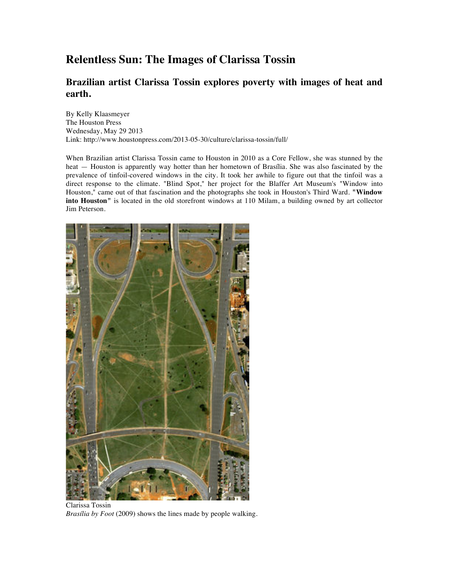## **Relentless Sun: The Images of Clarissa Tossin**

## **Brazilian artist Clarissa Tossin explores poverty with images of heat and earth.**

By Kelly Klaasmeyer The Houston Press Wednesday, May 29 2013 Link: http://www.houstonpress.com/2013-05-30/culture/clarissa-tossin/full/

When Brazilian artist Clarissa Tossin came to Houston in 2010 as a Core Fellow, she was stunned by the heat — Houston is apparently way hotter than her hometown of Brasília. She was also fascinated by the prevalence of tinfoil-covered windows in the city. It took her awhile to figure out that the tinfoil was a direct response to the climate. "Blind Spot," her project for the Blaffer Art Museum's "Window into Houston," came out of that fascination and the photographs she took in Houston's Third Ward. **"Window into Houston"** is located in the old storefront windows at 110 Milam, a building owned by art collector Jim Peterson.



Clarissa Tossin *Brasília by Foot* (2009) shows the lines made by people walking.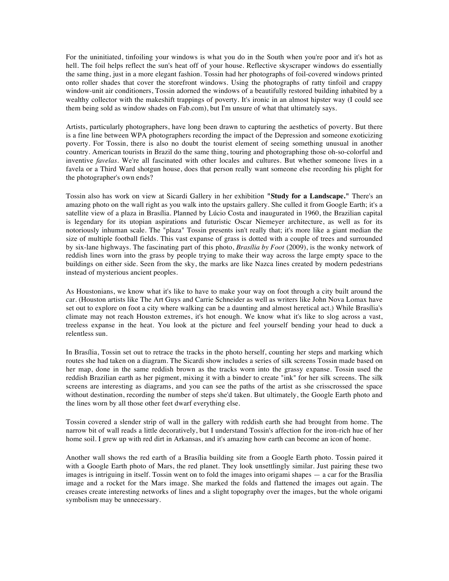For the uninitiated, tinfoiling your windows is what you do in the South when you're poor and it's hot as hell. The foil helps reflect the sun's heat off of your house. Reflective skyscraper windows do essentially the same thing, just in a more elegant fashion. Tossin had her photographs of foil-covered windows printed onto roller shades that cover the storefront windows. Using the photographs of ratty tinfoil and crappy window-unit air conditioners, Tossin adorned the windows of a beautifully restored building inhabited by a wealthy collector with the makeshift trappings of poverty. It's ironic in an almost hipster way (I could see them being sold as window shades on Fab.com), but I'm unsure of what that ultimately says.

Artists, particularly photographers, have long been drawn to capturing the aesthetics of poverty. But there is a fine line between WPA photographers recording the impact of the Depression and someone exoticizing poverty. For Tossin, there is also no doubt the tourist element of seeing something unusual in another country. American tourists in Brazil do the same thing, touring and photographing those oh-so-colorful and inventive *favelas*. We're all fascinated with other locales and cultures. But whether someone lives in a favela or a Third Ward shotgun house, does that person really want someone else recording his plight for the photographer's own ends?

Tossin also has work on view at Sicardi Gallery in her exhibition **"Study for a Landscape."** There's an amazing photo on the wall right as you walk into the upstairs gallery. She culled it from Google Earth; it's a satellite view of a plaza in Brasília. Planned by Lúcio Costa and inaugurated in 1960, the Brazilian capital is legendary for its utopian aspirations and futuristic Oscar Niemeyer architecture, as well as for its notoriously inhuman scale. The "plaza" Tossin presents isn't really that; it's more like a giant median the size of multiple football fields. This vast expanse of grass is dotted with a couple of trees and surrounded by six-lane highways. The fascinating part of this photo, *Brasília by Foot* (2009), is the wonky network of reddish lines worn into the grass by people trying to make their way across the large empty space to the buildings on either side. Seen from the sky, the marks are like Nazca lines created by modern pedestrians instead of mysterious ancient peoples.

As Houstonians, we know what it's like to have to make your way on foot through a city built around the car. (Houston artists like The Art Guys and Carrie Schneider as well as writers like John Nova Lomax have set out to explore on foot a city where walking can be a daunting and almost heretical act.) While Brasília's climate may not reach Houston extremes, it's hot enough. We know what it's like to slog across a vast, treeless expanse in the heat. You look at the picture and feel yourself bending your head to duck a relentless sun.

In Brasília, Tossin set out to retrace the tracks in the photo herself, counting her steps and marking which routes she had taken on a diagram. The Sicardi show includes a series of silk screens Tossin made based on her map, done in the same reddish brown as the tracks worn into the grassy expanse. Tossin used the reddish Brazilian earth as her pigment, mixing it with a binder to create "ink" for her silk screens. The silk screens are interesting as diagrams, and you can see the paths of the artist as she crisscrossed the space without destination, recording the number of steps she'd taken. But ultimately, the Google Earth photo and the lines worn by all those other feet dwarf everything else.

Tossin covered a slender strip of wall in the gallery with reddish earth she had brought from home. The narrow bit of wall reads a little decoratively, but I understand Tossin's affection for the iron-rich hue of her home soil. I grew up with red dirt in Arkansas, and it's amazing how earth can become an icon of home.

Another wall shows the red earth of a Brasília building site from a Google Earth photo. Tossin paired it with a Google Earth photo of Mars, the red planet. They look unsettlingly similar. Just pairing these two images is intriguing in itself. Tossin went on to fold the images into origami shapes — a car for the Brasília image and a rocket for the Mars image. She marked the folds and flattened the images out again. The creases create interesting networks of lines and a slight topography over the images, but the whole origami symbolism may be unnecessary.